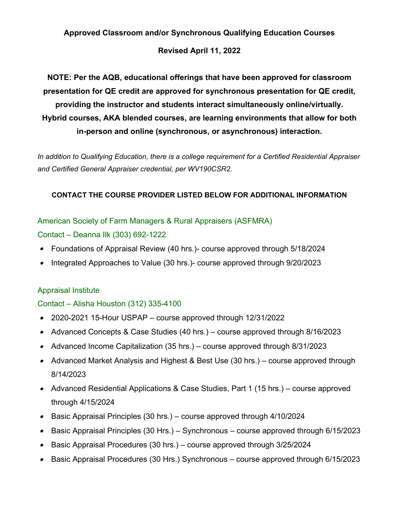# **Approved Classroom and/or Synchronous Qualifying Education Courses**

### **Revised April 11, 2022**

**NOTE: Per the AQB, educational offerings that have been approved for classroom presentation for QE credit are approved for synchronous presentation for QE credit, providing the instructor and students interact simultaneously online/virtually. Hybrid courses, AKA blended courses, are learning environments that allow for both in-person and online (synchronous, or asynchronous) interaction.**

*In addition to Qualifying Education, there is a college requirement for a Certified Residential Appraiser and Certified General Appraiser credential, per WV190CSR2.*

### **CONTACT THE COURSE PROVIDER LISTED BELOW FOR ADDITIONAL INFORMATION**

# American Society of Farm Managers & Rural Appraisers (ASFMRA)

### Contact – Deanna Ilk (303) 692-1222

- $\bullet$ Foundations of Appraisal Review (40 hrs.)- course approved through 5/18/2024
- $\bullet$ Integrated Approaches to Value (30 hrs.)- course approved through 9/20/2023

### Appraisal Institute

# Contact – Alisha Houston (312) 335-4100

- $\bullet$ 2020-2021 15-Hour USPAP – course approved through 12/31/2022
- Advanced Concepts & Case Studies (40 hrs.) course approved through 8/16/2023
- Advanced Income Capitalization (35 hrs.) course approved through 8/31/2023
- Advanced Market Analysis and Highest & Best Use (30 hrs.) course approved through 8/14/2023
- Advanced Residential Applications & Case Studies, Part 1 (15 hrs.) course approved through 4/15/2024
- $\bullet$ Basic Appraisal Principles (30 hrs.) – course approved through 4/10/2024
- $\bullet$ Basic Appraisal Principles (30 Hrs.) – Synchronous – course approved through 6/15/2023
- $\bullet$ Basic Appraisal Procedures (30 hrs.) – course approved through 3/25/2024
- Basic Appraisal Procedures (30 Hrs.) Synchronous course approved through 6/15/2023